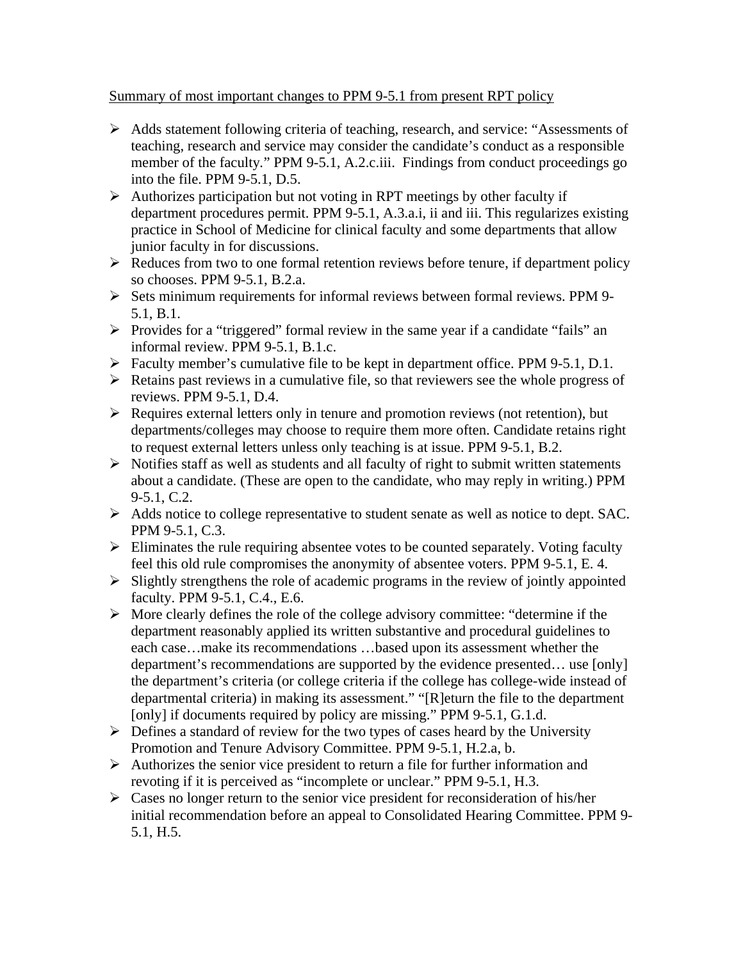## Summary of most important changes to PPM 9-5.1 from present RPT policy

- ¾ Adds statement following criteria of teaching, research, and service: "Assessments of teaching, research and service may consider the candidate's conduct as a responsible member of the faculty." PPM 9-5.1, A.2.c.iii. Findings from conduct proceedings go into the file. PPM 9-5.1, D.5.
- $\triangleright$  Authorizes participation but not voting in RPT meetings by other faculty if department procedures permit. PPM 9-5.1, A.3.a.i, ii and iii. This regularizes existing practice in School of Medicine for clinical faculty and some departments that allow junior faculty in for discussions.
- $\triangleright$  Reduces from two to one formal retention reviews before tenure, if department policy so chooses. PPM 9-5.1, B.2.a.
- ¾ Sets minimum requirements for informal reviews between formal reviews. PPM 9- 5.1, B.1.
- $\triangleright$  Provides for a "triggered" formal review in the same year if a candidate "fails" an informal review. PPM 9-5.1, B.1.c.
- ¾ Faculty member's cumulative file to be kept in department office. PPM 9-5.1, D.1.
- $\triangleright$  Retains past reviews in a cumulative file, so that reviewers see the whole progress of reviews. PPM 9-5.1, D.4.
- $\triangleright$  Requires external letters only in tenure and promotion reviews (not retention), but departments/colleges may choose to require them more often. Candidate retains right to request external letters unless only teaching is at issue. PPM 9-5.1, B.2.
- $\triangleright$  Notifies staff as well as students and all faculty of right to submit written statements about a candidate. (These are open to the candidate, who may reply in writing.) PPM 9-5.1, C.2.
- ¾ Adds notice to college representative to student senate as well as notice to dept. SAC. PPM 9-5.1, C.3.
- $\triangleright$  Eliminates the rule requiring absentee votes to be counted separately. Voting faculty feel this old rule compromises the anonymity of absentee voters. PPM 9-5.1, E. 4.
- $\triangleright$  Slightly strengthens the role of academic programs in the review of jointly appointed faculty. PPM 9-5.1, C.4., E.6.
- $\triangleright$  More clearly defines the role of the college advisory committee: "determine if the department reasonably applied its written substantive and procedural guidelines to each case…make its recommendations …based upon its assessment whether the department's recommendations are supported by the evidence presented… use [only] the department's criteria (or college criteria if the college has college-wide instead of departmental criteria) in making its assessment." "[R]eturn the file to the department [only] if documents required by policy are missing." PPM 9-5.1, G.1.d.
- $\triangleright$  Defines a standard of review for the two types of cases heard by the University Promotion and Tenure Advisory Committee. PPM 9-5.1, H.2.a, b.
- $\triangleright$  Authorizes the senior vice president to return a file for further information and revoting if it is perceived as "incomplete or unclear." PPM 9-5.1, H.3.
- $\triangleright$  Cases no longer return to the senior vice president for reconsideration of his/her initial recommendation before an appeal to Consolidated Hearing Committee. PPM 9- 5.1, H.5.